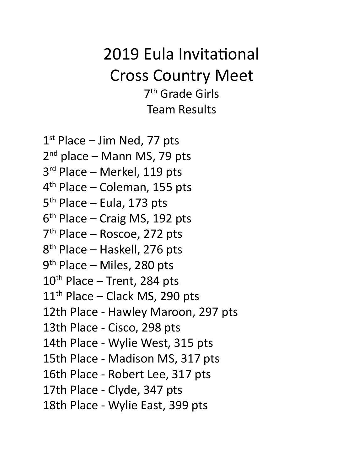# 2019 Eula Invitational Cross Country Meet 7<sup>th</sup> Grade Girls Team Results

1<sup>st</sup> Place – Jim Ned, 77 pts 2<sup>nd</sup> place – Mann MS, 79 pts 3<sup>rd</sup> Place – Merkel, 119 pts 4<sup>th</sup> Place – Coleman, 155 pts 5<sup>th</sup> Place – Eula, 173 pts 6<sup>th</sup> Place – Craig MS, 192 pts 7<sup>th</sup> Place – Roscoe, 272 pts 8<sup>th</sup> Place – Haskell, 276 pts 9<sup>th</sup> Place – Miles, 280 pts 10<sup>th</sup> Place – Trent, 284 pts 11<sup>th</sup> Place - Clack MS, 290 pts 12th Place - Hawley Maroon, 297 pts 13th Place - Cisco, 298 pts 14th Place - Wylie West, 315 pts 15th Place - Madison MS, 317 pts 16th Place - Robert Lee, 317 pts 17th Place - Clyde, 347 pts 18th Place - Wylie East, 399 pts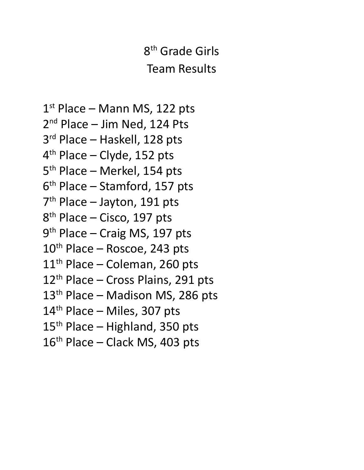# 8<sup>th</sup> Grade Girls Team Results

1<sup>st</sup> Place – Mann MS, 122 pts 2<sup>nd</sup> Place – Jim Ned, 124 Pts 3<sup>rd</sup> Place – Haskell, 128 pts 4<sup>th</sup> Place – Clyde, 152 pts 5<sup>th</sup> Place – Merkel, 154 pts 6 th Place – Stamford, 157 pts 7<sup>th</sup> Place – Jayton, 191 pts 8<sup>th</sup> Place – Cisco, 197 pts 9<sup>th</sup> Place – Craig MS, 197 pts 10<sup>th</sup> Place – Roscoe, 243 pts 11<sup>th</sup> Place - Coleman, 260 pts 12<sup>th</sup> Place - Cross Plains, 291 pts 13<sup>th</sup> Place - Madison MS, 286 pts 14<sup>th</sup> Place - Miles, 307 pts 15<sup>th</sup> Place - Highland, 350 pts 16<sup>th</sup> Place - Clack MS, 403 pts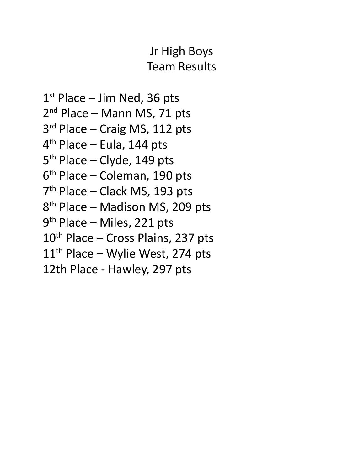## Jr High Boys Team Results

1<sup>st</sup> Place – Jim Ned, 36 pts 2<sup>nd</sup> Place – Mann MS, 71 pts 3<sup>rd</sup> Place - Craig MS, 112 pts 4<sup>th</sup> Place – Eula, 144 pts 5<sup>th</sup> Place – Clyde, 149 pts 6 th Place – Coleman, 190 pts 7<sup>th</sup> Place – Clack MS, 193 pts 8<sup>th</sup> Place – Madison MS, 209 pts 9<sup>th</sup> Place – Miles, 221 pts 10<sup>th</sup> Place - Cross Plains, 237 pts 11<sup>th</sup> Place - Wylie West, 274 pts 12th Place - Hawley, 297 pts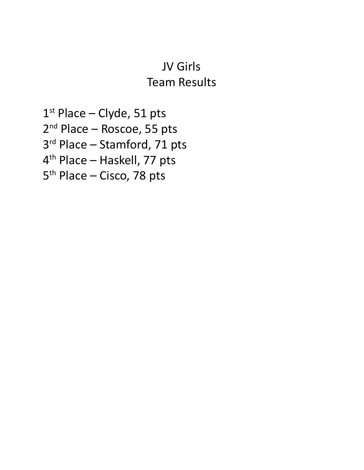#### JV Girls Team Results

1<sup>st</sup> Place – Clyde, 51 pts 2<sup>nd</sup> Place – Roscoe, 55 pts 3<sup>rd</sup> Place – Stamford, 71 pts 4<sup>th</sup> Place – Haskell, 77 pts 5<sup>th</sup> Place – Cisco, 78 pts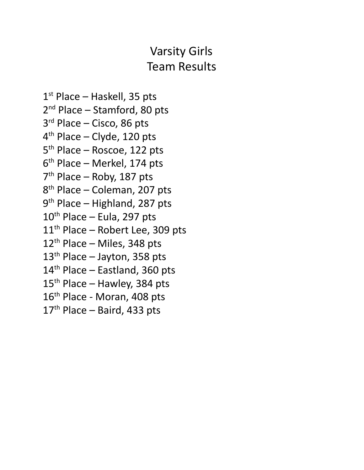## Varsity Girls Team Results

1<sup>st</sup> Place – Haskell, 35 pts 2<sup>nd</sup> Place – Stamford, 80 pts 3<sup>rd</sup> Place – Cisco, 86 pts 4 th Place – Clyde, 120 pts 5<sup>th</sup> Place – Roscoe, 122 pts 6 th Place – Merkel, 174 pts 7<sup>th</sup> Place – Roby, 187 pts 8<sup>th</sup> Place – Coleman, 207 pts 9<sup>th</sup> Place – Highland, 287 pts 10<sup>th</sup> Place – Eula, 297 pts 11<sup>th</sup> Place - Robert Lee, 309 pts 12<sup>th</sup> Place - Miles, 348 pts 13<sup>th</sup> Place - Jayton, 358 pts 14<sup>th</sup> Place – Eastland, 360 pts 15<sup>th</sup> Place – Hawley, 384 pts 16<sup>th</sup> Place - Moran, 408 pts 17<sup>th</sup> Place – Baird, 433 pts